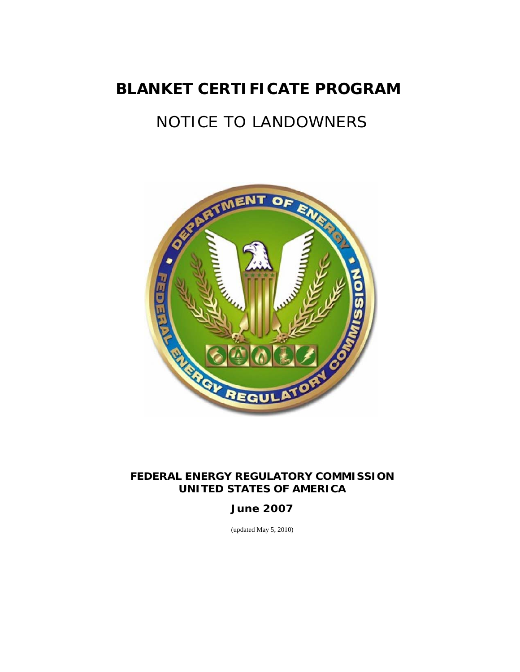# **BLANKET CERTIFICATE PROGRAM**

# NOTICE TO LANDOWNERS



## **FEDERAL ENERGY REGULATORY COMMISSION UNITED STATES OF AMERICA**

### **June 2007**

(updated May 5, 2010)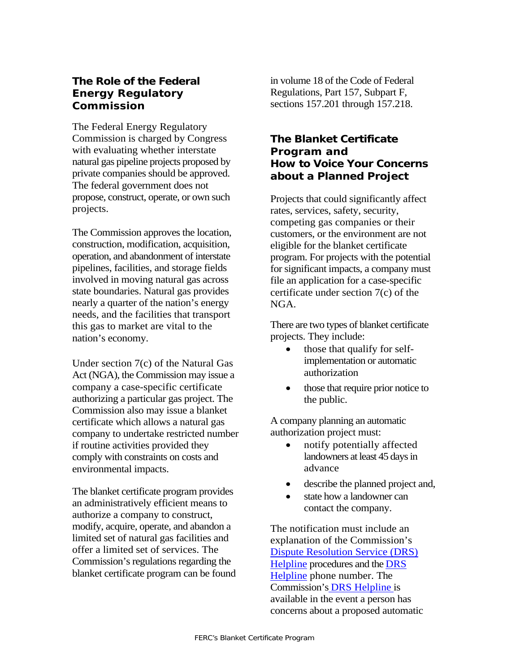# **The Role of the Federal Energy Regulatory Commission**

The Federal Energy Regulatory Commission is charged by Congress with evaluating whether interstate natural gas pipeline projects proposed by private companies should be approved. The federal government does not propose, construct, operate, or own such projects.

The Commission approves the location, construction, modification, acquisition, operation, and abandonment of interstate pipelines, facilities, and storage fields involved in moving natural gas across state boundaries. Natural gas provides nearly a quarter of the nation's energy needs, and the facilities that transport this gas to market are vital to the nation's economy.

Under section 7(c) of the Natural Gas Act (NGA), the Commission may issue a company a case-specific certificate authorizing a particular gas project. The Commission also may issue a blanket certificate which allows a natural gas company to undertake restricted number if routine activities provided they comply with constraints on costs and environmental impacts.

The blanket certificate program provides an administratively efficient means to authorize a company to construct, modify, acquire, operate, and abandon a limited set of natural gas facilities and offer a limited set of services. The Commission's regulations regarding the blanket certificate program can be found in volume 18 of the Code of Federal Regulations, Part 157, Subpart F, sections 157.201 through 157.218.

# **The Blanket Certificate Program and How to Voice Your Concerns about a Planned Project**

Projects that could significantly affect rates, services, safety, security, competing gas companies or their customers, or the environment are not eligible for the blanket certificate program. For projects with the potential for significant impacts, a company must file an application for a case-specific certificate under section 7(c) of the NGA.

There are two types of blanket certificate projects. They include:

- those that qualify for selfimplementation or automatic authorization
- those that require prior notice to the public.

A company planning an automatic authorization project must:

- notify potentially affected landowners at least 45 days in advance
- describe the planned project and,
- state how a landowner can contact the company.

The notification must include an explanation of the Commission's Dispute Resolution Service (DRS) Helpline procedures and the DRS Helpline phone number. The Commission's DRS Helpline is available in the event a person has concerns about a proposed automatic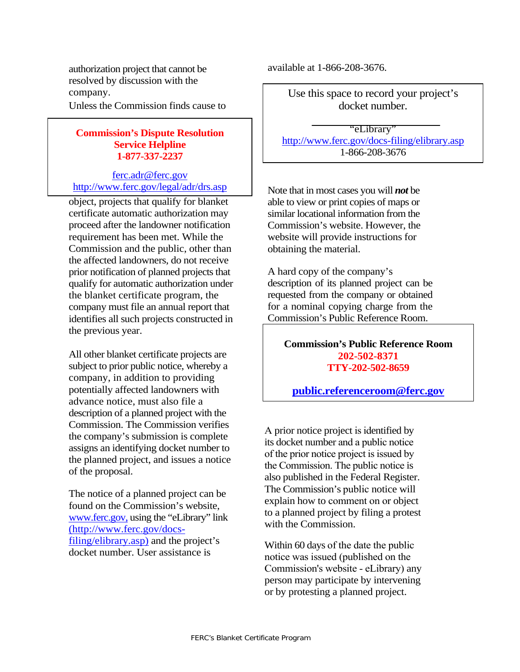authorization project that cannot be resolved by discussion with the company.

Unless the Commission finds cause to

#### **Commission's Dispute Resolution Service Helpline 1-877-337-2237**

ferc.adr@ferc.gov http://www.ferc.gov/legal/adr/drs.asp Note that in most cases you will *not* be

object, projects that qualify for blanket certificate automatic authorization may proceed after the landowner notification requirement has been met. While the Commission and the public, other than the affected landowners, do not receive prior notification of planned projects that qualify for automatic authorization under the blanket certificate program, the company must file an annual report that identifies all such projects constructed in the previous year.

All other blanket certificate projects are subject to prior public notice, whereby a company, in addition to providing potentially affected landowners with advance notice, must also file a description of a planned project with the Commission. The Commission verifies the company's submission is complete assigns an identifying docket number to the planned project, and issues a notice of the proposal.

The notice of a planned project can be found on the Commission's website, www.ferc.gov, using the "eLibrary" link (http://www.ferc.gov/docsfiling/elibrary.asp) and the project's docket number. User assistance is

available at 1-866-208-3676.

Use this space to record your project's docket number.

"eLibrary" http://www.ferc.gov/docs-filing/elibrary.asp 1-866-208-3676

able to view or print copies of maps or similar locational information from the Commission's website. However, the website will provide instructions for obtaining the material.

A hard copy of the company's description of its planned project can be requested from the company or obtained for a nominal copying charge from the Commission's Public Reference Room.

> **Commission's Public Reference Room 202-502-8371 TTY-202-502-8659**

**public.referenceroom@ferc.gov**

A prior notice project is identified by its docket number and a public notice of the prior notice project is issued by the Commission. The public notice is also published in the Federal Register. The Commission's public notice will explain how to comment on or object to a planned project by filing a protest with the Commission.

Within 60 days of the date the public notice was issued (published on the Commission's website - eLibrary) any person may participate by intervening or by protesting a planned project.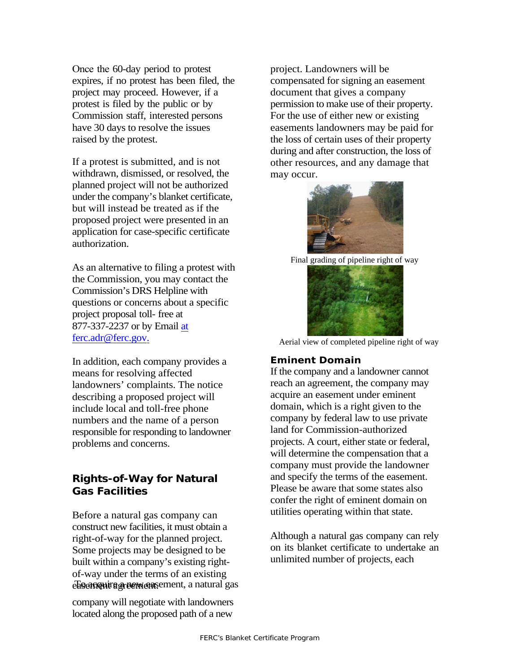Once the 60-day period to protest expires, if no protest has been filed, the project may proceed. However, if a protest is filed by the public or by Commission staff, interested persons have 30 days to resolve the issues raised by the protest.

If a protest is submitted, and is not withdrawn, dismissed, or resolved, the planned project will not be authorized under the company's blanket certificate, but will instead be treated as if the proposed project were presented in an application for case-specific certificate authorization.

As an alternative to filing a protest with the Commission, you may contact the Commission's DRS Helpline with questions or concerns about a specific project proposal toll- free at 877-337-2237 or by Email at ferc.adr@ferc.gov.

In addition, each company provides a means for resolving affected landowners' complaints. The notice describing a proposed project will include local and toll-free phone numbers and the name of a person responsible for responding to landowner problems and concerns.

# **Rights-of-Way for Natural Gas Facilities**

Before a natural gas company can construct new facilities, it must obtain a right-of-way for the planned project. Some projects may be designed to be built within a company's existing rightof-way under the terms of an existing elsen agreement, a natural gas

company will negotiate with landowners located along the proposed path of a new project. Landowners will be compensated for signing an easement document that gives a company permission to make use of their property. For the use of either new or existing easements landowners may be paid for the loss of certain uses of their property during and after construction, the loss of other resources, and any damage that may occur.



Final grading of pipeline right of way



Aerial view of completed pipeline right of way

# *Eminent Domain*

If the company and a landowner cannot reach an agreement, the company may acquire an easement under eminent domain, which is a right given to the company by federal law to use private land for Commission-authorized projects. A court, either state or federal, will determine the compensation that a company must provide the landowner and specify the terms of the easement. Please be aware that some states also confer the right of eminent domain on utilities operating within that state.

Although a natural gas company can rely on its blanket certificate to undertake an unlimited number of projects, each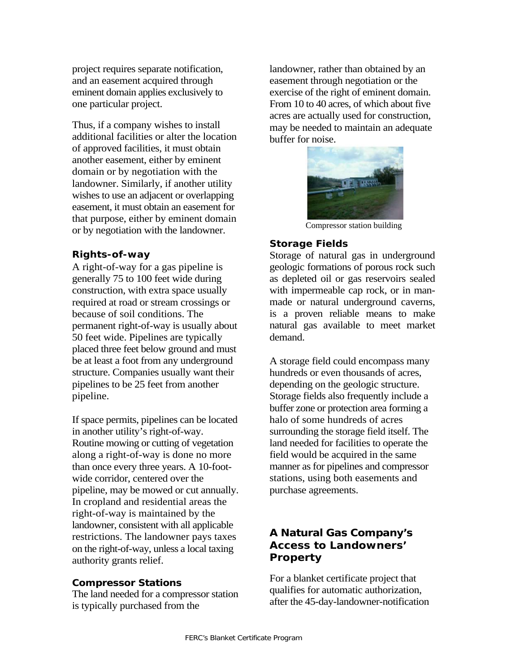project requires separate notification, and an easement acquired through eminent domain applies exclusively to one particular project.

Thus, if a company wishes to install additional facilities or alter the location of approved facilities, it must obtain another easement, either by eminent domain or by negotiation with the landowner. Similarly, if another utility wishes to use an adjacent or overlapping easement, it must obtain an easement for that purpose, either by eminent domain or by negotiation with the landowner.

#### *Rights-of-way*

A right-of-way for a gas pipeline is generally 75 to 100 feet wide during construction, with extra space usually required at road or stream crossings or because of soil conditions. The permanent right-of-way is usually about 50 feet wide. Pipelines are typically placed three feet below ground and must be at least a foot from any underground structure. Companies usually want their pipelines to be 25 feet from another pipeline.

If space permits, pipelines can be located in another utility's right-of-way. Routine mowing or cutting of vegetation along a right-of-way is done no more than once every three years. A 10-footwide corridor, centered over the pipeline, may be mowed or cut annually. In cropland and residential areas the right-of-way is maintained by the landowner, consistent with all applicable restrictions. The landowner pays taxes on the right-of-way, unless a local taxing authority grants relief.

#### *Compressor Stations*

The land needed for a compressor station is typically purchased from the

landowner, rather than obtained by an easement through negotiation or the exercise of the right of eminent domain. From 10 to 40 acres, of which about five acres are actually used for construction, may be needed to maintain an adequate buffer for noise.



Compressor station building

### *Storage Fields*

Storage of natural gas in underground geologic formations of porous rock such as depleted oil or gas reservoirs sealed with impermeable cap rock, or in manmade or natural underground caverns, is a proven reliable means to make natural gas available to meet market demand.

A storage field could encompass many hundreds or even thousands of acres, depending on the geologic structure. Storage fields also frequently include a buffer zone or protection area forming a halo of some hundreds of acres surrounding the storage field itself. The land needed for facilities to operate the field would be acquired in the same manner as for pipelines and compressor stations, using both easements and purchase agreements.

# **A Natural Gas Company's Access to Landowners' Property**

For a blanket certificate project that qualifies for automatic authorization, after the 45-day-landowner-notification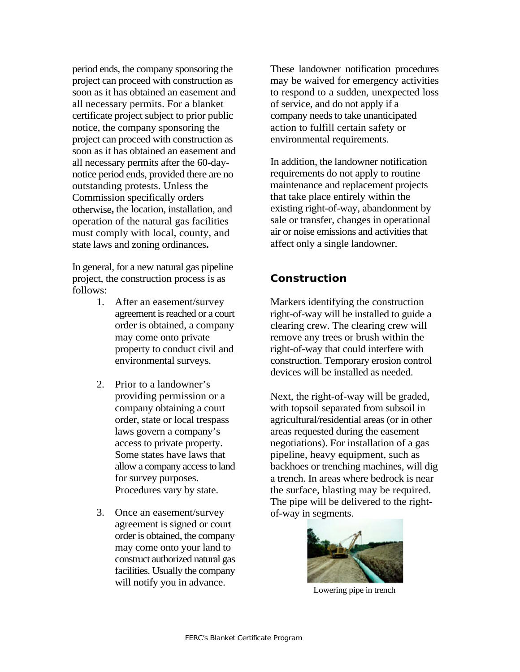period ends, the company sponsoring the project can proceed with construction as soon as it has obtained an easement and all necessary permits. For a blanket certificate project subject to prior public notice, the company sponsoring the project can proceed with construction as soon as it has obtained an easement and all necessary permits after the 60-daynotice period ends, provided there are no outstanding protests. Unless the Commission specifically orders otherwise**,** the location, installation, and operation of the natural gas facilities must comply with local, county, and state laws and zoning ordinances**.** 

In general, for a new natural gas pipeline project, the construction process is as follows:

- 1. After an easement/survey agreement is reached or a court order is obtained, a company may come onto private property to conduct civil and environmental surveys.
- 2. Prior to a landowner's providing permission or a company obtaining a court order, state or local trespass laws govern a company's access to private property. Some states have laws that allow a company access to land for survey purposes. Procedures vary by state.
- 3. Once an easement/survey agreement is signed or court order is obtained, the company may come onto your land to construct authorized natural gas facilities. Usually the company will notify you in advance.

These landowner notification procedures may be waived for emergency activities to respond to a sudden, unexpected loss of service, and do not apply if a company needs to take unanticipated action to fulfill certain safety or environmental requirements.

In addition, the landowner notification requirements do not apply to routine maintenance and replacement projects that take place entirely within the existing right-of-way, abandonment by sale or transfer, changes in operational air or noise emissions and activities that affect only a single landowner.

# **Construction**

Markers identifying the construction right-of-way will be installed to guide a clearing crew. The clearing crew will remove any trees or brush within the right-of-way that could interfere with construction. Temporary erosion control devices will be installed as needed.

Next, the right-of-way will be graded, with topsoil separated from subsoil in agricultural/residential areas (or in other areas requested during the easement negotiations). For installation of a gas pipeline, heavy equipment, such as backhoes or trenching machines, will dig a trench. In areas where bedrock is near the surface, blasting may be required. The pipe will be delivered to the rightof-way in segments.



Lowering pipe in trench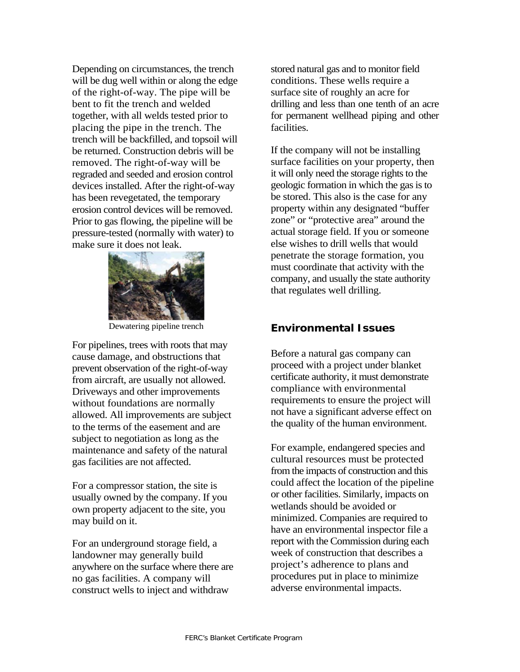Depending on circumstances, the trench will be dug well within or along the edge of the right-of-way. The pipe will be bent to fit the trench and welded together, with all welds tested prior to placing the pipe in the trench. The trench will be backfilled, and topsoil will be returned. Construction debris will be removed. The right-of-way will be regraded and seeded and erosion control devices installed. After the right-of-way has been revegetated, the temporary erosion control devices will be removed. Prior to gas flowing, the pipeline will be pressure-tested (normally with water) to make sure it does not leak.



Dewatering pipeline trench

For pipelines, trees with roots that may cause damage, and obstructions that prevent observation of the right-of-way from aircraft, are usually not allowed. Driveways and other improvements without foundations are normally allowed. All improvements are subject to the terms of the easement and are subject to negotiation as long as the maintenance and safety of the natural gas facilities are not affected.

For a compressor station, the site is usually owned by the company. If you own property adjacent to the site, you may build on it.

For an underground storage field, a landowner may generally build anywhere on the surface where there are no gas facilities. A company will construct wells to inject and withdraw

stored natural gas and to monitor field conditions. These wells require a surface site of roughly an acre for drilling and less than one tenth of an acre for permanent wellhead piping and other facilities.

If the company will not be installing surface facilities on your property, then it will only need the storage rights to the geologic formation in which the gas is to be stored. This also is the case for any property within any designated "buffer zone" or "protective area" around the actual storage field. If you or someone else wishes to drill wells that would penetrate the storage formation, you must coordinate that activity with the company, and usually the state authority that regulates well drilling.

## **Environmental Issues**

Before a natural gas company can proceed with a project under blanket certificate authority, it must demonstrate compliance with environmental requirements to ensure the project will not have a significant adverse effect on the quality of the human environment.

For example, endangered species and cultural resources must be protected from the impacts of construction and this could affect the location of the pipeline or other facilities. Similarly, impacts on wetlands should be avoided or minimized. Companies are required to have an environmental inspector file a report with the Commission during each week of construction that describes a project's adherence to plans and procedures put in place to minimize adverse environmental impacts.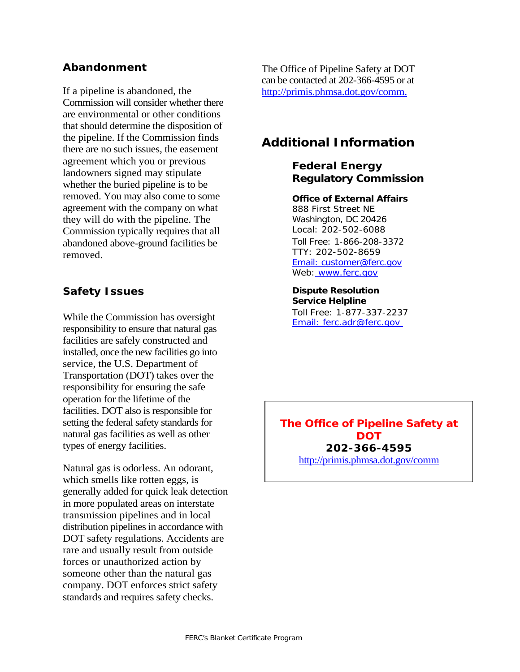If a pipeline is abandoned, the http://primis.phmsa.dot.gov/comm. Commission will consider whether there are environmental or other conditions that should determine the disposition of the pipeline. If the Commission finds there are no such issues, the easement agreement which you or previous landowners signed may stipulate whether the buried pipeline is to be removed. You may also come to some agreement with the company on what they will do with the pipeline. The Commission typically requires that all abandoned above-ground facilities be removed.

### **Safety Issues**

While the Commission has oversight responsibility to ensure that natural gas facilities are safely constructed and installed, once the new facilities go into service, the U.S. Department of Transportation (DOT) takes over the responsibility for ensuring the safe operation for the lifetime of the facilities. DOT also is responsible for setting the federal safety standards for natural gas facilities as well as other types of energy facilities.

Natural gas is odorless. An odorant, which smells like rotten eggs, is generally added for quick leak detection in more populated areas on interstate transmission pipelines and in local distribution pipelines in accordance with DOT safety regulations. Accidents are rare and usually result from outside forces or unauthorized action by someone other than the natural gas company. DOT enforces strict safety standards and requires safety checks.

**Abandonment** The Office of Pipeline Safety at DOT can be contacted at 202-366-4595 or at

# **Additional Information**

#### **Federal Energy Regulatory Commission**

**Office of External Affairs** 888 First Street NE Washington, DC 20426 Local: 202-502-6088 Toll Free: 1-866-208-3372 TTY: 202-502-8659 Email: customer@ferc.gov Web: www.ferc.gov

**Dispute Resolution** 

**Service Helpline**  Toll Free: 1-877-337-2237 Email: ferc.adr@ferc.gov

**The Office of Pipeline Safety at DOT 202-366-4595** http://primis.phmsa.dot.gov/comm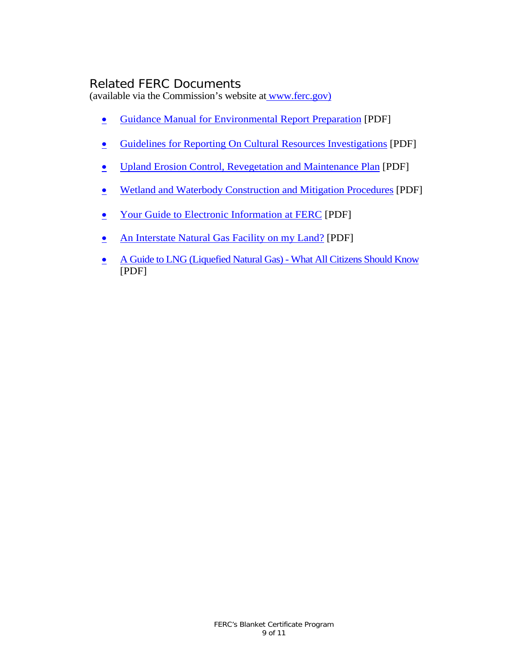# Related FERC Documents

(available via the Commission's website at www.ferc.gov)

- Guidance Manual for Environmental Report Preparation [PDF]
- Guidelines for Reporting On Cultural Resources Investigations [PDF]
- Upland Erosion Control, Revegetation and Maintenance Plan [PDF]
- Wetland and Waterbody Construction and Mitigation Procedures [PDF]
- Your Guide to Electronic Information at FERC [PDF]
- An Interstate Natural Gas Facility on my Land? [PDF]
- A Guide to LNG (Liquefied Natural Gas) What All Citizens Should Know [PDF]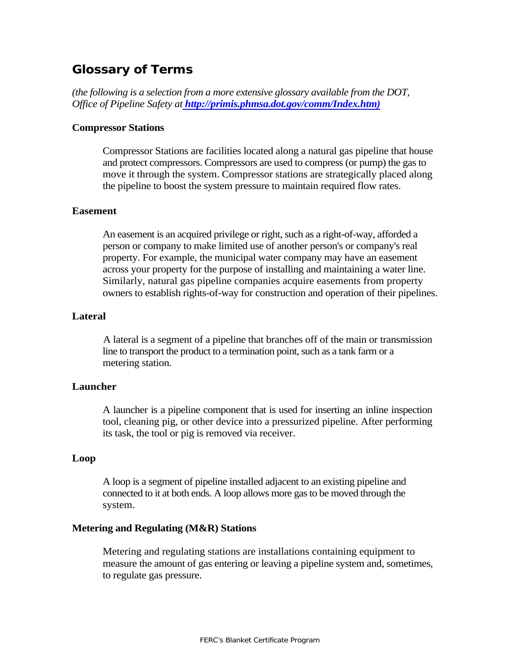# **Glossary of Terms**

*(the following is a selection from a more extensive glossary available from the DOT, Office of Pipeline Safety at http://primis.phmsa.dot.gov/comm/Index.htm)*

#### **Compressor Stations**

Compressor Stations are facilities located along a natural gas pipeline that house and protect compressors. Compressors are used to compress (or pump) the gas to move it through the system. Compressor stations are strategically placed along the pipeline to boost the system pressure to maintain required flow rates.

#### **Easement**

An easement is an acquired privilege or right, such as a right-of-way, afforded a person or company to make limited use of another person's or company's real property. For example, the municipal water company may have an easement across your property for the purpose of installing and maintaining a water line. Similarly, natural gas pipeline companies acquire easements from property owners to establish rights-of-way for construction and operation of their pipelines.

#### **Lateral**

A lateral is a segment of a pipeline that branches off of the main or transmission line to transport the product to a termination point, such as a tank farm or a metering station.

#### **Launcher**

A launcher is a pipeline component that is used for inserting an inline inspection tool, cleaning pig, or other device into a pressurized pipeline. After performing its task, the tool or pig is removed via receiver.

#### **Loop**

A loop is a segment of pipeline installed adjacent to an existing pipeline and connected to it at both ends. A loop allows more gas to be moved through the system.

#### **Metering and Regulating (M&R) Stations**

Metering and regulating stations are installations containing equipment to measure the amount of gas entering or leaving a pipeline system and, sometimes, to regulate gas pressure.